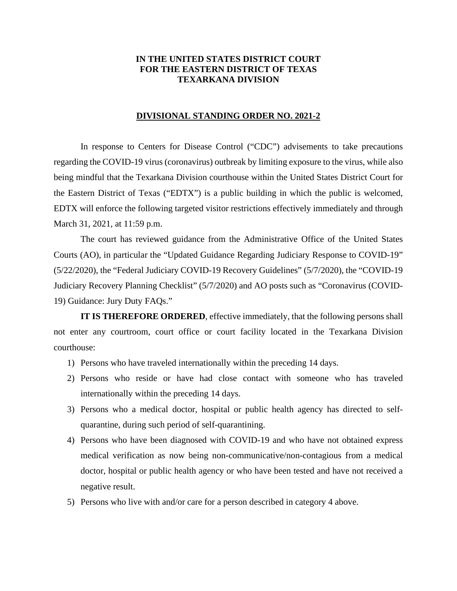## **IN THE UNITED STATES DISTRICT COURT FOR THE EASTERN DISTRICT OF TEXAS TEXARKANA DIVISION**

## **DIVISIONAL STANDING ORDER NO. 2021-2**

In response to Centers for Disease Control ("CDC") advisements to take precautions regarding the COVID-19 virus (coronavirus) outbreak by limiting exposure to the virus, while also being mindful that the Texarkana Division courthouse within the United States District Court for the Eastern District of Texas ("EDTX") is a public building in which the public is welcomed, EDTX will enforce the following targeted visitor restrictions effectively immediately and through March 31, 2021, at 11:59 p.m.

The court has reviewed guidance from the Administrative Office of the United States Courts (AO), in particular the "Updated Guidance Regarding Judiciary Response to COVID-19" (5/22/2020), the "Federal Judiciary COVID-19 Recovery Guidelines" (5/7/2020), the "COVID-19 Judiciary Recovery Planning Checklist" (5/7/2020) and AO posts such as "Coronavirus (COVID-19) Guidance: Jury Duty FAQs."

**IT IS THEREFORE ORDERED**, effective immediately, that the following persons shall not enter any courtroom, court office or court facility located in the Texarkana Division courthouse:

- 1) Persons who have traveled internationally within the preceding 14 days.
- 2) Persons who reside or have had close contact with someone who has traveled internationally within the preceding 14 days.
- 3) Persons who a medical doctor, hospital or public health agency has directed to selfquarantine, during such period of self-quarantining.
- 4) Persons who have been diagnosed with COVID-19 and who have not obtained express medical verification as now being non-communicative/non-contagious from a medical doctor, hospital or public health agency or who have been tested and have not received a negative result.
- 5) Persons who live with and/or care for a person described in category 4 above.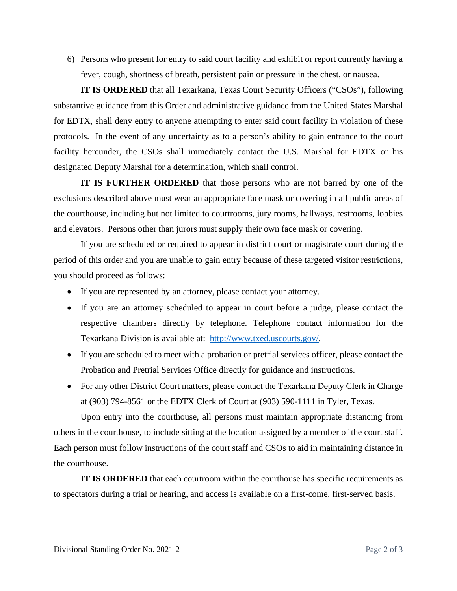6) Persons who present for entry to said court facility and exhibit or report currently having a fever, cough, shortness of breath, persistent pain or pressure in the chest, or nausea.

**IT IS ORDERED** that all Texarkana, Texas Court Security Officers ("CSOs"), following substantive guidance from this Order and administrative guidance from the United States Marshal for EDTX, shall deny entry to anyone attempting to enter said court facility in violation of these protocols. In the event of any uncertainty as to a person's ability to gain entrance to the court facility hereunder, the CSOs shall immediately contact the U.S. Marshal for EDTX or his designated Deputy Marshal for a determination, which shall control.

**IT IS FURTHER ORDERED** that those persons who are not barred by one of the exclusions described above must wear an appropriate face mask or covering in all public areas of the courthouse, including but not limited to courtrooms, jury rooms, hallways, restrooms, lobbies and elevators. Persons other than jurors must supply their own face mask or covering.

If you are scheduled or required to appear in district court or magistrate court during the period of this order and you are unable to gain entry because of these targeted visitor restrictions, you should proceed as follows:

- If you are represented by an attorney, please contact your attorney.
- If you are an attorney scheduled to appear in court before a judge, please contact the respective chambers directly by telephone. Telephone contact information for the Texarkana Division is available at: http://www.txed.uscourts.gov/.
- If you are scheduled to meet with a probation or pretrial services officer, please contact the Probation and Pretrial Services Office directly for guidance and instructions.
- For any other District Court matters, please contact the Texarkana Deputy Clerk in Charge at (903) 794-8561 or the EDTX Clerk of Court at (903) 590-1111 in Tyler, Texas.

Upon entry into the courthouse, all persons must maintain appropriate distancing from others in the courthouse, to include sitting at the location assigned by a member of the court staff. Each person must follow instructions of the court staff and CSOs to aid in maintaining distance in the courthouse.

**IT IS ORDERED** that each courtroom within the courthouse has specific requirements as to spectators during a trial or hearing, and access is available on a first-come, first-served basis.